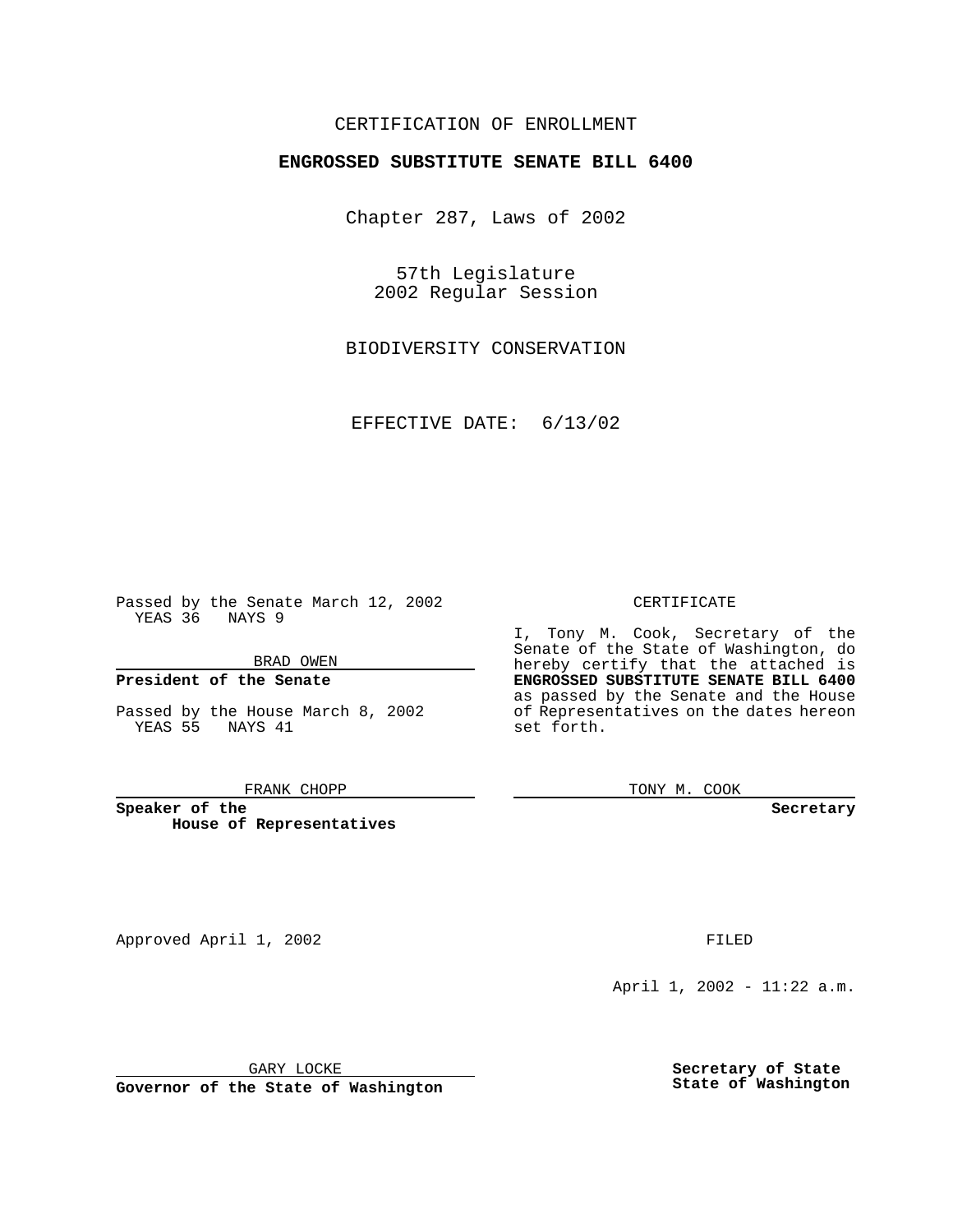### CERTIFICATION OF ENROLLMENT

# **ENGROSSED SUBSTITUTE SENATE BILL 6400**

Chapter 287, Laws of 2002

57th Legislature 2002 Regular Session

BIODIVERSITY CONSERVATION

EFFECTIVE DATE: 6/13/02

Passed by the Senate March 12, 2002 YEAS 36 NAYS 9

BRAD OWEN

### **President of the Senate**

Passed by the House March 8, 2002 YEAS 55 NAYS 41

#### FRANK CHOPP

**Speaker of the House of Representatives** CERTIFICATE

I, Tony M. Cook, Secretary of the Senate of the State of Washington, do hereby certify that the attached is **ENGROSSED SUBSTITUTE SENATE BILL 6400** as passed by the Senate and the House of Representatives on the dates hereon set forth.

TONY M. COOK

**Secretary**

Approved April 1, 2002 **FILED** 

April 1, 2002 - 11:22 a.m.

GARY LOCKE

**Governor of the State of Washington**

**Secretary of State State of Washington**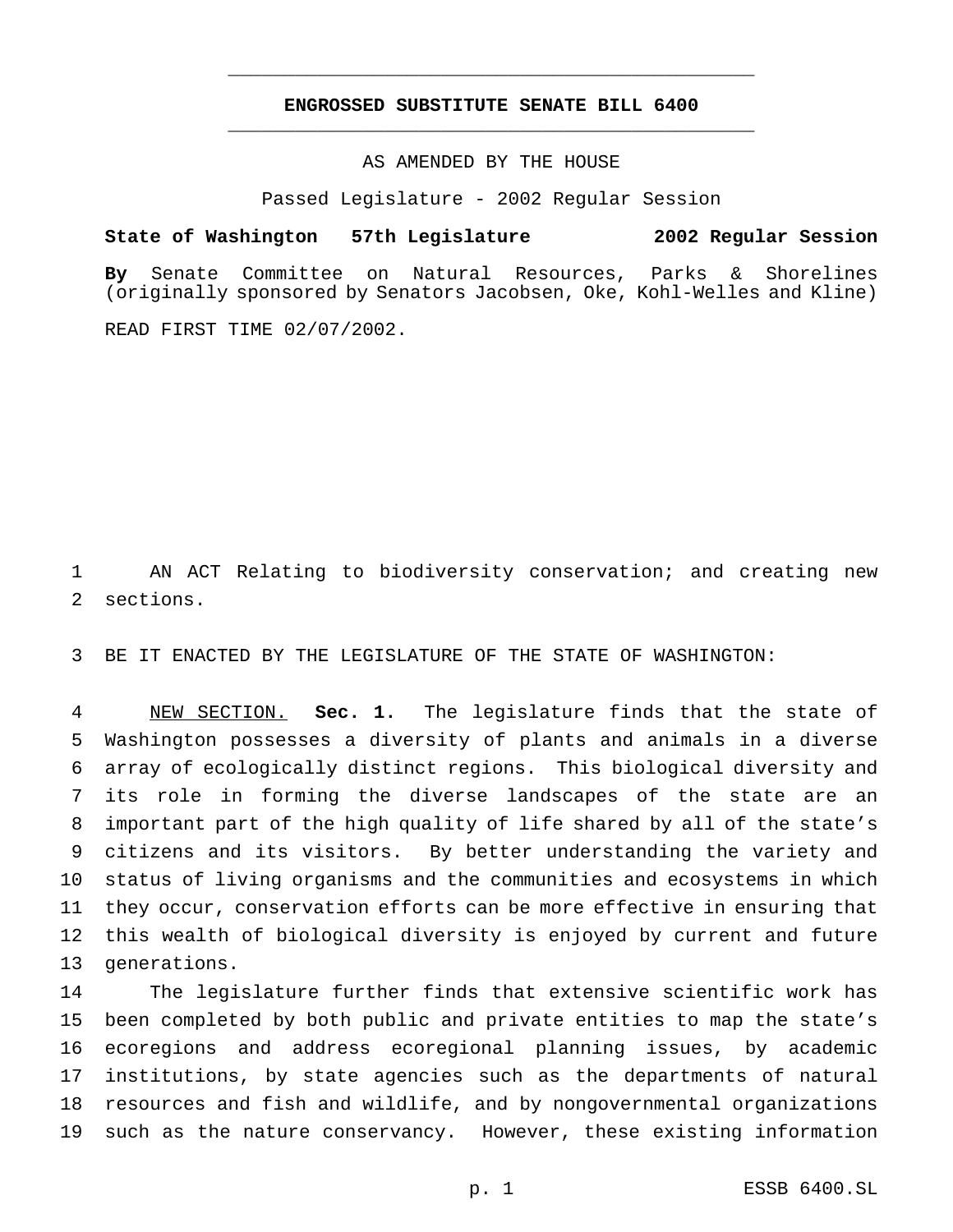## **ENGROSSED SUBSTITUTE SENATE BILL 6400** \_\_\_\_\_\_\_\_\_\_\_\_\_\_\_\_\_\_\_\_\_\_\_\_\_\_\_\_\_\_\_\_\_\_\_\_\_\_\_\_\_\_\_\_\_\_\_

\_\_\_\_\_\_\_\_\_\_\_\_\_\_\_\_\_\_\_\_\_\_\_\_\_\_\_\_\_\_\_\_\_\_\_\_\_\_\_\_\_\_\_\_\_\_\_

AS AMENDED BY THE HOUSE

Passed Legislature - 2002 Regular Session

### **State of Washington 57th Legislature 2002 Regular Session**

**By** Senate Committee on Natural Resources, Parks & Shorelines (originally sponsored by Senators Jacobsen, Oke, Kohl-Welles and Kline)

READ FIRST TIME 02/07/2002.

 AN ACT Relating to biodiversity conservation; and creating new sections.

BE IT ENACTED BY THE LEGISLATURE OF THE STATE OF WASHINGTON:

 NEW SECTION. **Sec. 1.** The legislature finds that the state of Washington possesses a diversity of plants and animals in a diverse array of ecologically distinct regions. This biological diversity and its role in forming the diverse landscapes of the state are an important part of the high quality of life shared by all of the state's citizens and its visitors. By better understanding the variety and status of living organisms and the communities and ecosystems in which they occur, conservation efforts can be more effective in ensuring that this wealth of biological diversity is enjoyed by current and future generations.

 The legislature further finds that extensive scientific work has been completed by both public and private entities to map the state's ecoregions and address ecoregional planning issues, by academic institutions, by state agencies such as the departments of natural resources and fish and wildlife, and by nongovernmental organizations such as the nature conservancy. However, these existing information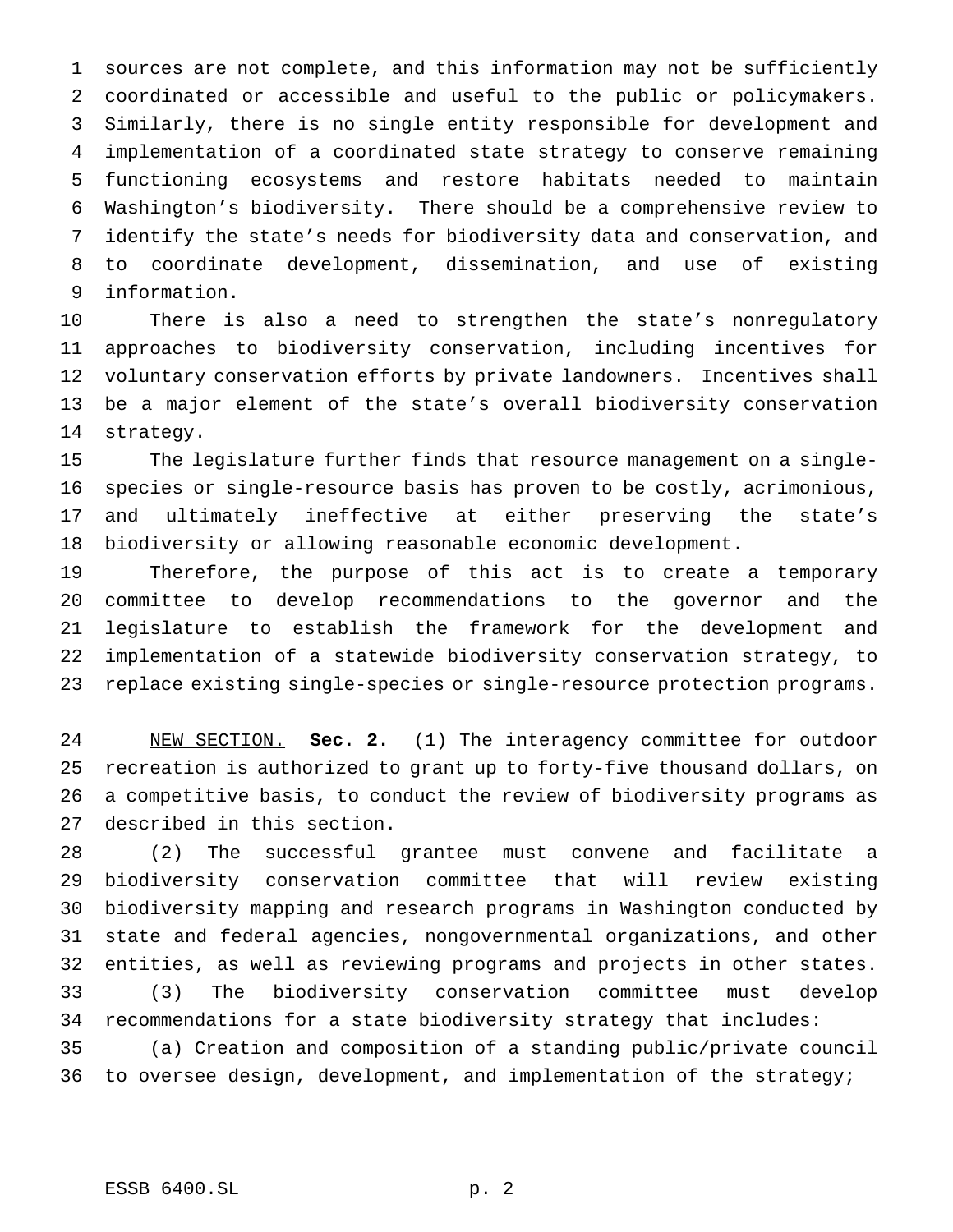sources are not complete, and this information may not be sufficiently coordinated or accessible and useful to the public or policymakers. Similarly, there is no single entity responsible for development and implementation of a coordinated state strategy to conserve remaining functioning ecosystems and restore habitats needed to maintain Washington's biodiversity. There should be a comprehensive review to identify the state's needs for biodiversity data and conservation, and to coordinate development, dissemination, and use of existing information.

 There is also a need to strengthen the state's nonregulatory approaches to biodiversity conservation, including incentives for voluntary conservation efforts by private landowners. Incentives shall be a major element of the state's overall biodiversity conservation strategy.

 The legislature further finds that resource management on a single- species or single-resource basis has proven to be costly, acrimonious, and ultimately ineffective at either preserving the state's biodiversity or allowing reasonable economic development.

 Therefore, the purpose of this act is to create a temporary committee to develop recommendations to the governor and the legislature to establish the framework for the development and implementation of a statewide biodiversity conservation strategy, to replace existing single-species or single-resource protection programs.

 NEW SECTION. **Sec. 2.** (1) The interagency committee for outdoor recreation is authorized to grant up to forty-five thousand dollars, on a competitive basis, to conduct the review of biodiversity programs as described in this section.

 (2) The successful grantee must convene and facilitate a biodiversity conservation committee that will review existing biodiversity mapping and research programs in Washington conducted by state and federal agencies, nongovernmental organizations, and other entities, as well as reviewing programs and projects in other states. (3) The biodiversity conservation committee must develop recommendations for a state biodiversity strategy that includes: (a) Creation and composition of a standing public/private council to oversee design, development, and implementation of the strategy;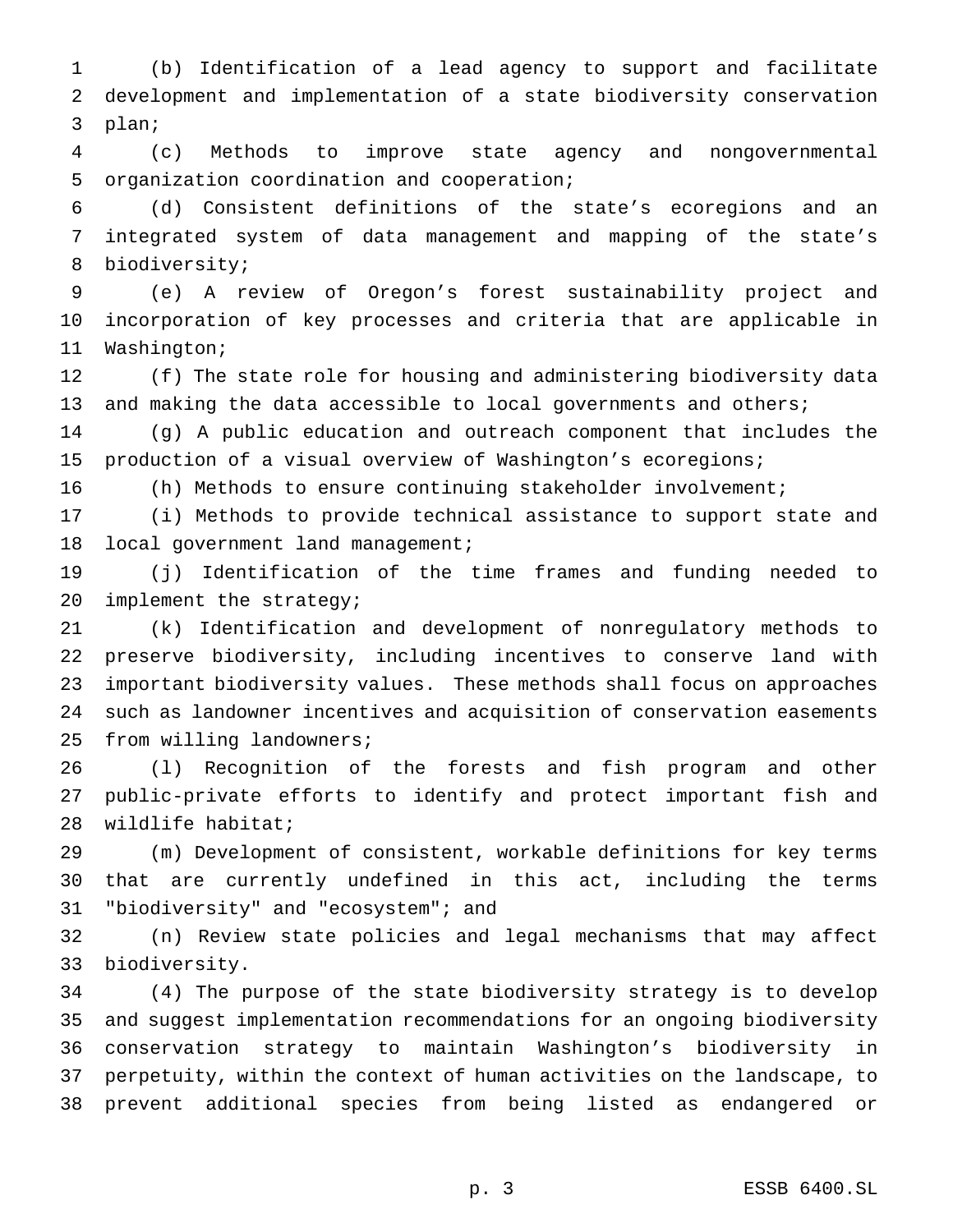(b) Identification of a lead agency to support and facilitate development and implementation of a state biodiversity conservation plan;

 (c) Methods to improve state agency and nongovernmental organization coordination and cooperation;

 (d) Consistent definitions of the state's ecoregions and an integrated system of data management and mapping of the state's biodiversity;

 (e) A review of Oregon's forest sustainability project and incorporation of key processes and criteria that are applicable in Washington;

 (f) The state role for housing and administering biodiversity data 13 and making the data accessible to local governments and others;

 (g) A public education and outreach component that includes the production of a visual overview of Washington's ecoregions;

(h) Methods to ensure continuing stakeholder involvement;

 (i) Methods to provide technical assistance to support state and 18 local government land management;

 (j) Identification of the time frames and funding needed to 20 implement the strategy;

 (k) Identification and development of nonregulatory methods to preserve biodiversity, including incentives to conserve land with important biodiversity values. These methods shall focus on approaches such as landowner incentives and acquisition of conservation easements from willing landowners;

 (l) Recognition of the forests and fish program and other public-private efforts to identify and protect important fish and wildlife habitat;

 (m) Development of consistent, workable definitions for key terms that are currently undefined in this act, including the terms "biodiversity" and "ecosystem"; and

 (n) Review state policies and legal mechanisms that may affect biodiversity.

 (4) The purpose of the state biodiversity strategy is to develop and suggest implementation recommendations for an ongoing biodiversity conservation strategy to maintain Washington's biodiversity in perpetuity, within the context of human activities on the landscape, to prevent additional species from being listed as endangered or